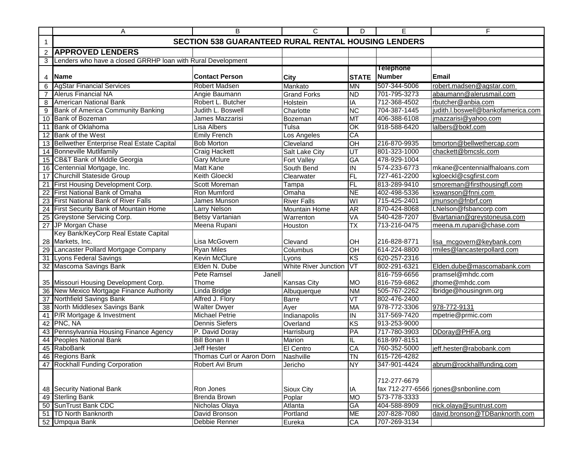|                 | Α                                                           | B                         | С                    | D                        | E                                 | F                                     |  |
|-----------------|-------------------------------------------------------------|---------------------------|----------------------|--------------------------|-----------------------------------|---------------------------------------|--|
| $\mathbf 1$     | <b>SECTION 538 GUARANTEED RURAL RENTAL HOUSING LENDERS</b>  |                           |                      |                          |                                   |                                       |  |
| 2               | <b>APPROVED LENDERS</b>                                     |                           |                      |                          |                                   |                                       |  |
| 3               | Lenders who have a closed GRRHP loan with Rural Development |                           |                      |                          |                                   |                                       |  |
| 4               | <b>Name</b>                                                 | <b>Contact Person</b>     | <b>City</b>          | <b>STATE</b>             | <b>Telephone</b><br><b>Number</b> | <b>Email</b>                          |  |
| 6               | <b>AgStar Financial Services</b>                            | <b>Robert Madsen</b>      | Mankato              | <b>MN</b>                | 507-344-5006                      | robert.madsen@agstar.com              |  |
| $\overline{7}$  | <b>Alerus Financial NA</b>                                  | Angie Baumann             | <b>Grand Forks</b>   | <b>ND</b>                | 701-795-3273                      | abaumann@alerusmail.com               |  |
| 8               | <b>American National Bank</b>                               | Robert L. Butcher         | Holstein             | ΙA                       | 712-368-4502                      | rbutcher@anbia.com                    |  |
| 9               | Bank of America Community Banking                           | Judith L. Boswell         | Charlotte            | <b>NC</b>                | 704-387-1445                      | judith.l.boswell@bankofamerica.com    |  |
| 10              | Bank of Bozeman                                             | James Mazzarisi           | Bozeman              | MT                       | 406-388-6108                      | jmazzarisi@yahoo.com                  |  |
| 11              | Bank of Oklahoma                                            | Lisa Albers               | Tulsa                | $\overline{\mathsf{OK}}$ | 918-588-6420                      | lalbers@bokf.com                      |  |
|                 | 12 Bank of the West                                         | <b>Emily French</b>       | Los Angeles          | CA                       |                                   |                                       |  |
|                 | 13 Bellwether Enterprise Real Estate Capital                | <b>Bob Morton</b>         | Cleveland            | HO                       | 216-870-9935                      | bmorton@bellwethercap.com             |  |
|                 | 14 Bonneville Mutlifamily                                   | <b>Craig Hackett</b>      | Salt Lake City       | UT                       | 801-323-1000                      | chackett@bmcslc.com                   |  |
|                 | 15 CB&T Bank of Middle Georgia                              | <b>Gary Mclure</b>        | <b>Fort Valley</b>   | <b>GA</b>                | 478-929-1004                      |                                       |  |
|                 | 16 Centennial Mortgage, Inc.                                | <b>Matt Kane</b>          | South Bend           | $\overline{N}$           | 574-233-6773                      | mkane@centennialfhaloans.com          |  |
| 17              | <b>Churchill Stateside Group</b>                            | Keith Gloeckl             | Clearwater           | FL                       | 727-461-2200                      | kgloeckl@csgfirst.com                 |  |
| 21              | First Housing Development Corp.                             | Scott Moreman             | Tampa                | FL                       | 813-289-9410                      | smoreman@firsthousingfl.com           |  |
| $\overline{22}$ | First National Bank of Omaha                                | Ron Mumford               | Omaha                | <b>NE</b>                | 402-498-5336                      | kswanson@fnni.com                     |  |
|                 | 23 First National Bank of River Falls                       | James Munson              | <b>River Falls</b>   | WI                       | 715-425-2401                      | jmunson@fnbrf.com                     |  |
|                 | 24 First Security Bank of Mountain Home                     | <b>Larry Nelson</b>       | <b>Mountain Home</b> | <b>AR</b>                | 870-424-8068                      | LNelson@fsbancorp.com                 |  |
| 25              | Greystone Servicing Corp.                                   | <b>Betsy Vartanian</b>    | Warrenton            | VA                       | 540-428-7207                      | Bvartanian@greystoneusa.com           |  |
| 27              | JP Morgan Chase                                             | Meena Rupani              | Houston              | TX                       | 713-216-0475                      | meena.m.rupani@chase.com              |  |
|                 | Key Bank/KeyCorp Real Estate Capital<br>28 Markets, Inc.    | Lisa McGovern             | Clevand              | OH                       | 216-828-8771                      | lisa_mcgovern@keybank.com             |  |
|                 | 29 Lancaster Pollard Mortgage Company                       | <b>Ryan Miles</b>         | Columbus             | OH                       | 614-224-8800                      | rmiles@lancasterpollard.com           |  |
| 31              | Lyons Federal Savings                                       | <b>Kevin McClure</b>      | Lyons                | KS                       | 620-257-2316                      |                                       |  |
|                 | 32 Mascoma Savings Bank                                     | Elden N. Dube             | White River Junction | VT                       | 802-291-6321                      | Elden.dube@mascomabank.com            |  |
|                 |                                                             | Pete Ramsel<br>Janell     |                      |                          | 816-759-6656                      | pramsel@mhdc.com                      |  |
|                 | 35 Missouri Housing Development Corp.                       | Thome                     | Kansas City          | <b>MO</b>                | 816-759-6862                      | jthome@mhdc.com                       |  |
|                 | 36 New Mexico Mortgage Finance Authority                    | Linda Bridge              | Albuquerque          | <b>NM</b>                | 505-767-2262                      | lbridge@housingnm.org                 |  |
|                 | 37 Northfield Savings Bank                                  | Alfred J. Flory           | Barre                | $\overline{\mathsf{VT}}$ | 802-476-2400                      |                                       |  |
|                 | 38 North Middlesex Savings Bank                             | <b>Walter Dwyer</b>       | Ayer                 | <b>MA</b>                | 978-772-3306                      | 978-772-9131                          |  |
| 41              | P/R Mortgage & Investment                                   | <b>Michael Petrie</b>     | Indianapolis         | $\overline{I}$           | 317-569-7420                      | mpetrie@prmic.com                     |  |
|                 | 42 PNC, NA                                                  | <b>Dennis Siefers</b>     | Overland             | KS                       | 913-253-9000                      |                                       |  |
| 43              | Pennsylvannia Housing Finance Agency                        | P. David Doray            | Harrisburg           | PA                       | 717-780-3903                      | DDoray@PHFA.org                       |  |
| 44              | <b>Peoples National Bank</b>                                | <b>Bill Bonan II</b>      | <b>Marion</b>        | IL                       | 618-997-8151                      |                                       |  |
|                 | 45 RaboBank                                                 | Jeff Hester               | El Centro            | CA                       | 760-352-5000                      | jeff.hester@rabobank.com              |  |
|                 | 46 Regions Bank                                             | Thomas Curl or Aaron Dorn | Nashville            | <b>TN</b>                | 615-726-4282                      |                                       |  |
|                 | 47 Rockhall Funding Corporation                             | Robert Avi Brum           | Jericho              | <b>NY</b>                | 347-901-4424                      | abrum@rockhallfunding.com             |  |
|                 |                                                             |                           |                      |                          | 712-277-6679                      |                                       |  |
|                 | 48 Security National Bank                                   | Ron Jones                 | Sioux City           | IA                       |                                   | fax 712-277-6566 rjones@snbonline.com |  |
|                 | 49 Sterling Bank                                            | <b>Brenda Brown</b>       | Poplar               | <b>OM</b>                | 573-778-3333                      |                                       |  |
|                 | 50 SunTrust Bank CDC                                        | Nicholas Olaya            | Atlanta              | <b>GA</b>                | 404-588-8909                      | nick.olaya@suntrust.com               |  |
| 51              | <b>TD North Banknorth</b>                                   | David Bronson             | Portland             | <b>ME</b>                | 207-828-7080                      | david.bronson@TDBanknorth.com         |  |
|                 | 52 Umpqua Bank                                              | Debbie Renner             | Eureka               | CA                       | 707-269-3134                      |                                       |  |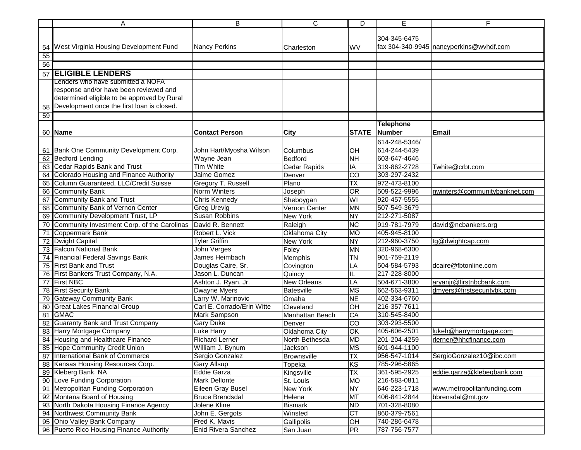|    | Α                                                              | B                                                | C                   | D                           | E                            | F                                       |
|----|----------------------------------------------------------------|--------------------------------------------------|---------------------|-----------------------------|------------------------------|-----------------------------------------|
|    |                                                                |                                                  |                     |                             |                              |                                         |
|    |                                                                |                                                  |                     |                             | 304-345-6475                 |                                         |
|    | 54 West Virginia Housing Development Fund                      | <b>Nancy Perkins</b>                             | Charleston          | WV                          |                              | fax 304-340-9945 nancyperkins@wvhdf.com |
| 55 |                                                                |                                                  |                     |                             |                              |                                         |
| 56 |                                                                |                                                  |                     |                             |                              |                                         |
| 57 | <b>ELIGIBLE LENDERS</b>                                        |                                                  |                     |                             |                              |                                         |
|    | Lenders who have submitted a NOFA                              |                                                  |                     |                             |                              |                                         |
|    | response and/or have been reviewed and                         |                                                  |                     |                             |                              |                                         |
|    | determined eligible to be approved by Rural                    |                                                  |                     |                             |                              |                                         |
| 58 | Development once the first loan is closed.                     |                                                  |                     |                             |                              |                                         |
| 59 |                                                                |                                                  |                     |                             |                              |                                         |
|    |                                                                |                                                  |                     |                             | <b>Telephone</b>             |                                         |
|    | 60 Name                                                        | <b>Contact Person</b>                            | <b>City</b>         | <b>STATE</b>                | <b>Number</b>                | <b>Email</b>                            |
|    |                                                                |                                                  |                     |                             | 614-248-5346/                |                                         |
|    |                                                                |                                                  |                     |                             | 614-244-5439                 |                                         |
|    | 61 Bank One Community Development Corp.                        | John Hart/Myosha Wilson                          | Columbus<br>Bedford | <b>OH</b>                   |                              |                                         |
|    | 62 Bedford Lending<br>63 Cedar Rapids Bank and Trust           | Wayne Jean<br><b>Tim White</b>                   |                     | <b>NH</b>                   | 603-647-4646<br>319-862-2728 | Twhite@crbt.com                         |
|    | Colorado Housing and Finance Authority                         | Jaime Gomez                                      | <b>Cedar Rapids</b> | IA                          | 303-297-2432                 |                                         |
| 64 |                                                                |                                                  | Denver              | $\overline{C}$<br><b>TX</b> |                              |                                         |
| 65 | Column Guaranteed, LLC/Credit Suisse                           | <b>Gregory T. Russell</b><br><b>Norm Winters</b> | Plano               |                             | 972-473-8100                 |                                         |
|    | 66 Community Bank                                              |                                                  | Joseph              | OR                          | 509-522-9996                 | nwinters@communitybanknet.com           |
| 67 | Community Bank and Trust<br>68 Community Bank of Vernon Center | <b>Chris Kennedy</b>                             | Sheboygan           | WI                          | 920-457-5555                 |                                         |
|    |                                                                | <b>Greg Urevig</b>                               | Vernon Center       | <b>MN</b>                   | 507-549-3679                 |                                         |
|    | 69 Community Development Trust, LP                             | <b>Susan Robbins</b>                             | <b>New York</b>     | <b>NY</b>                   | 212-271-5087                 |                                         |
| 70 | Community Investment Corp. of the Carolinas                    | David R. Bennett                                 | Raleigh             | <b>NC</b>                   | 919-781-7979                 | david@ncbankers.org                     |
| 71 | Coppermark Bank                                                | Robert L. Vick                                   | Oklahoma City       | <b>MO</b>                   | 405-945-8100                 |                                         |
|    | 72 Dwight Capital                                              | <b>Tyler Griffin</b>                             | <b>New York</b>     | <b>NY</b>                   | 212-960-3750                 | tg@dwightcap.com                        |
|    | 73 Falcon National Bank                                        | John Verges                                      | Foley               | <b>MN</b>                   | 320-968-6300                 |                                         |
|    | 74 Financial Federal Savings Bank                              | James Heimbach                                   | Memphis             | <b>TN</b>                   | 901-759-2119                 |                                         |
|    | 75 First Bank and Trust                                        | Douglas Caire, Sr.                               | Covington           | LA                          | 504-584-5793                 | dcaire@fbtonline.com                    |
|    | 76 First Bankers Trust Company, N.A.                           | Jason L. Duncan                                  | Quincy              | IL                          | 217-228-8000                 |                                         |
| 77 | <b>First NBC</b>                                               | Ashton J. Ryan, Jr.                              | <b>New Orleans</b>  | LA                          | 504-671-3800                 | aryanjr@firstnbcbank.com                |
|    | 78 First Security Bank                                         | Dwayne Myers                                     | <b>Batesville</b>   | <b>MS</b>                   | 662-563-9311                 | dmyers@firstsecuritybk.com              |
| 79 | <b>Gateway Community Bank</b>                                  | Larry W. Marinovic                               | Omaha               | <b>NE</b>                   | 402-334-6760                 |                                         |
| 80 | <b>Great Lakes Financial Group</b>                             | Carl E. Corrado/Erin Witte                       | Cleveland           | $\overline{C}$              | 216-357-7611                 |                                         |
| 81 | <b>GMAC</b>                                                    | <b>Mark Sampson</b>                              | Manhattan Beach     | CA                          | 310-545-8400                 |                                         |
|    | 82 Guaranty Bank and Trust Company                             | <b>Gary Duke</b>                                 | Denver              | 8                           | 303-293-5500                 |                                         |
|    | 83 Harry Mortgage Company                                      | <b>Luke Harry</b>                                | Oklahoma City       | $\overline{\mathsf{OK}}$    | 405-606-2501                 | lukeh@harrymortgage.com                 |
|    | 84 Housing and Healthcare Finance                              | <b>Richard Lerner</b>                            | North Bethesda      | <b>MD</b>                   | 201-204-4259                 | rlerner@hhcfinance.com                  |
|    | 85 Hope Community Credit Union                                 | William J. Bynum                                 | Jackson             | <b>MS</b>                   | 601-944-1100                 |                                         |
|    | 87 International Bank of Commerce                              | Sergio Gonzalez                                  | <b>Brownsville</b>  | TX                          | 956-547-1014                 | SergioGonzalez10@ibc.com                |
|    | 88 Kansas Housing Resources Corp.                              | Gary Allsup                                      | Topeka              | KS                          | 785-296-5865                 |                                         |
|    | 89 Kleberg Bank, NA                                            | Eddie Garza                                      | Kingsville          | <b>TX</b>                   | 361-595-2925                 | eddie.garza@klebegbank.com              |
|    | 90 Love Funding Corporation                                    | Mark Dellonte                                    | St. Louis           | <b>MO</b>                   | 216-583-0811                 |                                         |
|    | 91 Metropolitan Funding Corporation                            | <b>Eileen Gray Busel</b>                         | New York            | <b>NY</b>                   | 646-223-1718                 | www.metropolitanfunding.com             |
|    | 92 Montana Board of Housing                                    | <b>Bruce Brendsdal</b>                           | Helena              | MT                          | 406-841-2844                 | bbrensdal@mt.gov                        |
|    | 93 North Dakota Housing Finance Agency                         | Jolene Kline                                     | <b>Bismark</b>      | <b>ND</b>                   | 701-328-8080                 |                                         |
|    | 94 Northwest Community Bank                                    | John E. Gergots                                  | Winsted             | <b>CT</b>                   | 860-379-7561                 |                                         |
|    | 95 Ohio Valley Bank Company                                    | Fred K. Mavis                                    | Gallipolis          | OH                          | 740-286-6478                 |                                         |
|    | 96 Puerto Rico Housing Finance Authority                       | <b>Enid Rivera Sanchez</b>                       | San Juan            | PR                          | 787-756-7577                 |                                         |